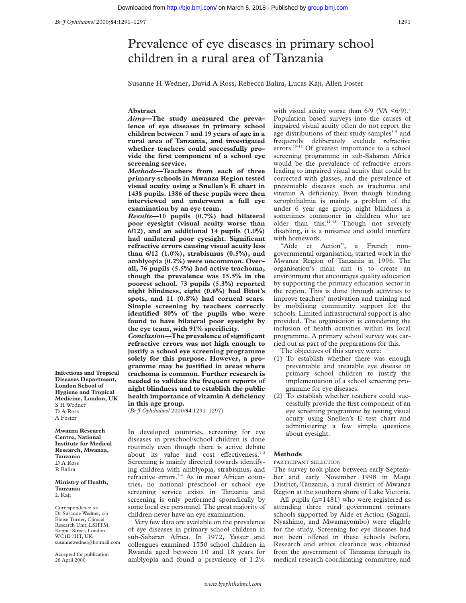# Prevalence of eye diseases in primary school children in a rural area of Tanzania

Susanne H Wedner, David A Ross, Rebecca Balira, Lucas Kaji, Allen Foster

### **Abstract**

*Aims***—The study measured the prevalence of eye diseases in primary school children between 7 and 19 years of age in a rural area of Tanzania, and investigated whether teachers could successfully provide the first component of a school eye screening service.**

*Methods—***Teachers from each of three primary schools in Mwanza Region tested visual acuity using a Snellen's E chart in 1438 pupils. 1386 of these pupils were then interviewed and underwent a full eye examination by an eye team.**

*Results***—10 pupils (0.7%) had bilateral poor eyesight (visual acuity worse than 6/12), and an additional 14 pupils (1.0%) had unilateral poor eyesight. Significant refractive errors causing visual acuity less than 6/12 (1.0%), strabismus (0.5%), and amblyopia (0.2%) were uncommon. Overall, 76 pupils (5.5%) had active trachoma, though the prevalence was 15.5% in the poorest school. 73 pupils (5.3%) reported night blindness, eight (0.6%) had Bitot's spots, and 11 (0.8%) had corneal scars. Simple screening by teachers correctly identified 80% of the pupils who were found to have bilateral poor eyesight by the eye team, with 91% specificity.**

*Conclusion***—The prevalence of significant refractive errors was not high enough to justify a school eye screening programme solely for this purpose. However, a programme may be justified in areas where trachoma is common. Further research is needed to validate the frequent reports of night blindness and to establish the public health importance of vitamin A deficiency in this age group.**

(*Br J Ophthalmol* 2000;**84**:1291–1297)

In developed countries, screening for eye diseases in preschool/school children is done routinely even though there is active debate about its value and cost effectiveness.<sup>12</sup> Screening is mainly directed towards identifying children with amblyopia, strabismus, and refractive errors.<sup>3-6</sup> As in most African countries, no national preschool or school eye screening service exists in Tanzania and screening is only performed sporadically by some local eye personnel. The great majority of children never have an eye examination.

Very few data are available on the prevalence of eye diseases in primary school children in sub-Saharan Africa. In 1972, Yassur and colleagues examined 1550 school children in Rwanda aged between 10 and 18 years for amblyopia and found a prevalence of 1.2%

with visual acuity worse than  $6/9$  (VA  $\leq 6/9$ ).<sup>7</sup> Population based surveys into the causes of impaired visual acuity often do not report the age distributions of their study samples<sup>8</sup> 9 and frequently deliberately exclude refractive errors.<sup>10–12</sup> Of greatest importance to a school screening programme in sub-Saharan Africa would be the prevalence of refractive errors leading to impaired visual acuity that could be corrected with glasses, and the prevalence of preventable diseases such as trachoma and vitamin A deficiency. Even though blinding xerophthalmia is mainly a problem of the under 6 year age group, night blindness is sometimes commoner in children who are older than this.<sup>12 13</sup> Though not severely disabling, it is a nuisance and could interfere with homework.

"Aide et Action", a French nongovernmental organisation, started work in the Mwanza Region of Tanzania in 1996. The organisation's main aim is to create an environment that encourages quality education by supporting the primary education sector in the region. This is done through activities to improve teachers' motivation and training and by mobilising community support for the schools. Limited infrastructural support is also provided. The organisation is considering the inclusion of health activities within its local programme. A primary school survey was carried out as part of the preparations for this.

The objectives of this survey were:

- (1) To establish whether there was enough preventable and treatable eye disease in primary school children to justify the implementation of a school screening programme for eye diseases.
- (2) To establish whether teachers could successfully provide the first component of an eye screening programme by testing visual acuity using Snellen's E test chart and administering a few simple questions about eyesight.

# **Methods**

### PARTICIPANT SELECTION

The survey took place between early September and early November 1998 in Magu District, Tanzania, a rural district of Mwanza Region at the southern shore of Lake Victoria.

All pupils (n=1481) who were registered as attending three rural government primary schools supported by Aide et Action (Sagani, Nyashimo, and Mwamayombo) were eligible for the study. Screening for eye diseases had not been offered in these schools before. Research and ethics clearance was obtained from the government of Tanzania through its medical research coordinating committee, and

**Infectious and Tropical Diseases Department, London School of Hygiene and Tropical Medicine, London, UK** S H Wedner D A Ross A Foster

**Mwanza Research Centre, National Institute for Medical Research, Mwanza, Tanzania** D A Ross R Balira

#### **Ministry of Health, Tanzania** L Kaji

Correspondence to: Dr Susanne Wedner, c/o Eloise Turner, Clinical Research Unit, LSHTM, Keppel Street, London WC1E 7HT, UK susannewedner@hotmail.com

Accepted for publication 28 April 2000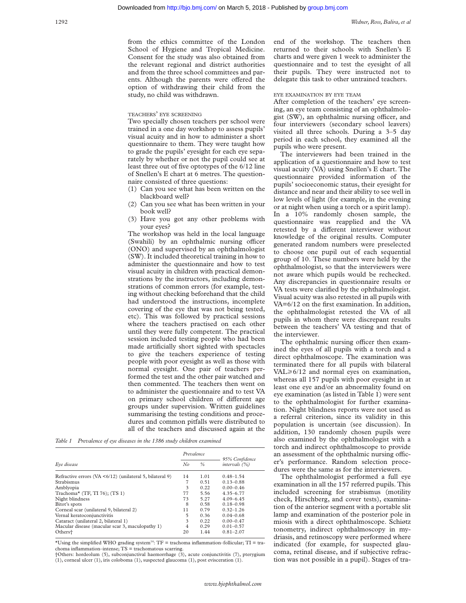from the ethics committee of the London School of Hygiene and Tropical Medicine. Consent for the study was also obtained from the relevant regional and district authorities and from the three school committees and parents. Although the parents were offered the option of withdrawing their child from the study, no child was withdrawn.

## TEACHERS' EYE SCREENING

Two specially chosen teachers per school were trained in a one day workshop to assess pupils' visual acuity and in how to administer a short questionnaire to them. They were taught how to grade the pupils' eyesight for each eye separately by whether or not the pupil could see at least three out of five optotypes of the 6/12 line of Snellen's E chart at 6 metres. The questionnaire consisted of three questions:

- (1) Can you see what has been written on the blackboard well?
- (2) Can you see what has been written in your book well?
- (3) Have you got any other problems with your eyes?

The workshop was held in the local language (Swahili) by an ophthalmic nursing officer (ONO) and supervised by an ophthalmologist (SW). It included theoretical training in how to administer the questionnaire and how to test visual acuity in children with practical demonstrations by the instructors, including demonstrations of common errors (for example, testing without checking beforehand that the child had understood the instructions, incomplete covering of the eye that was not being tested, etc). This was followed by practical sessions where the teachers practised on each other until they were fully competent. The practical session included testing people who had been made artificially short sighted with spectacles to give the teachers experience of testing people with poor eyesight as well as those with normal eyesight. One pair of teachers performed the test and the other pair watched and then commented. The teachers then went on to administer the questionnaire and to test VA on primary school children of different age groups under supervision. Written guidelines summarising the testing conditions and procedures and common pitfalls were distributed to all of the teachers and discussed again at the

*Table 1 Prevalence of eye diseases in the 1386 study children examined*

|                                                               | Prevalence |      |                                   |  |
|---------------------------------------------------------------|------------|------|-----------------------------------|--|
| Eye disease                                                   |            | $\%$ | 95% Confidence<br>intervals $(%)$ |  |
| Refractive errors ( $VA < 6/12$ ) (unilateral 5, bilateral 9) | 14         | 1.01 | $0.48 - 1.54$                     |  |
| Strabismus                                                    | 7          | 0.51 | $0.13 - 0.88$                     |  |
| Amblyopia                                                     | 3          | 0.22 | $0.00 - 0.46$                     |  |
| Trachoma* (TF, TI 76); (TS 1)                                 | 77         | 5.56 | $4.35 - 6.77$                     |  |
| Night blindness                                               | 73         | 5.27 | $4.09 - 6.45$                     |  |
| Bitot's spots                                                 | 8          | 0.58 | $0.18 - 0.98$                     |  |
| Corneal scar (unilateral 9, bilateral 2)                      | 11         | 0.79 | $0.32 - 1.26$                     |  |
| Vernal keratoconjunctivitis                                   | 5          | 0.36 | $0.04 - 0.68$                     |  |
| Cataract (unilateral 2, bilateral 1)                          | 3          | 0.22 | $0.00 - 0.47$                     |  |
| Macular disease (macular scar 3, maculopathy 1)               | 4          | 0.29 | $0.01 - 0.57$                     |  |
| Otherst                                                       | 20         | 1.44 | $0.81 - 2.07$                     |  |

\*Using the simplified WHO grading system<sup>14</sup>:  $TF =$  trachoma inflammation–follicular;  $TI =$  trachoma inflammation–intense; TS = trachomatous scarring.

†Others: hordeolum (5), subconjunctival haemorrhage (3), acute conjunctivitis (7), pterygium (1), corneal ulcer (1), iris coloboma (1), suspected glaucoma (1), post evisceration (1).

end of the workshop. The teachers then returned to their schools with Snellen's E charts and were given 1 week to administer the questionnaire and to test the eyesight of all their pupils. They were instructed not to delegate this task to other untrained teachers.

#### EYE EXAMINATION BY EYE TEAM

After completion of the teachers' eye screening, an eye team consisting of an ophthalmologist (SW), an ophthalmic nursing officer, and four interviewers (secondary school leavers) visited all three schools. During a 3–5 day period in each school, they examined all the pupils who were present.

The interviewers had been trained in the application of a questionnaire and how to test visual acuity (VA) using Snellen's E chart. The questionnaire provided information of the pupils' socioeconomic status, their eyesight for distance and near and their ability to see well in low levels of light (for example, in the evening or at night when using a torch or a spirit lamp). In a 10% randomly chosen sample, the questionnaire was reapplied and the VA retested by a different interviewer without knowledge of the original results. Computer generated random numbers were preselected to choose one pupil out of each sequential group of 10. These numbers were held by the ophthalmologist, so that the interviewers were not aware which pupils would be rechecked. Any discrepancies in questionnaire results or VA tests were clarified by the ophthalmologist. Visual acuity was also retested in all pupils with VA=6/12 on the first examination. In addition, the ophthalmologist retested the VA of all pupils in whom there were discrepant results between the teachers' VA testing and that of the interviewer.

The ophthalmic nursing officer then examined the eyes of all pupils with a torch and a direct ophthalmoscope. The examination was terminated there for all pupils with bilateral  $VAL \ge 6/12$  and normal eyes on examination, whereas all 157 pupils with poor eyesight in at least one eye and/or an abnormality found on eye examination (as listed in Table 1) were sent to the ophthalmologist for further examination. Night blindness reports were not used as a referral criterion, since its validity in this population is uncertain (see discussion). In addition, 130 randomly chosen pupils were also examined by the ophthalmologist with a torch and indirect ophthalmoscope to provide an assessment of the ophthalmic nursing officer's performance. Random selection procedures were the same as for the interviewers.

The ophthalmologist performed a full eye examination in all the 157 referred pupils. This included screening for strabismus (motility check, Hirschberg, and cover tests), examination of the anterior segment with a portable slit lamp and examination of the posterior pole in miosis with a direct ophthalmoscope. Schiøtz tonometry, indirect ophthalmoscopy in mydriasis, and retinoscopy were performed where indicated (for example, for suspected glaucoma, retinal disease, and if subjective refraction was not possible in a pupil). Stages of tra-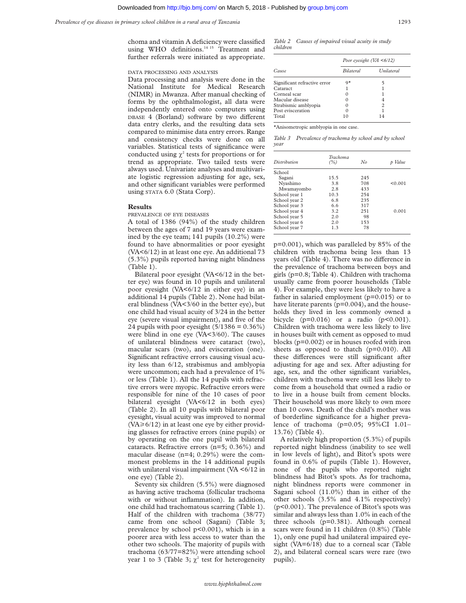choma and vitamin A deficiency were classified using WHO definitions.<sup>14 15</sup> Treatment and further referrals were initiated as appropriate.

# DATA PROCESSING AND ANALYSIS

Data processing and analysis were done in the National Institute for Medical Research (NIMR) in Mwanza. After manual checking of forms by the ophthalmologist, all data were independently entered onto computers using DBASE 4 (Borland) software by two different data entry clerks, and the resulting data sets compared to minimise data entry errors. Range and consistency checks were done on all variables. Statistical tests of significance were conducted using  $\chi^2$  tests for proportions or for trend as appropriate. Two tailed tests were always used. Univariate analyses and multivariate logistic regression adjusting for age, sex, and other significant variables were performed using STATA 6.0 (Stata Corp).

#### **Results**

PREVALENCE OF EYE DISEASES

A total of 1386 (94%) of the study children between the ages of 7 and 19 years were examined by the eye team; 141 pupils (10.2%) were found to have abnormalities or poor eyesight (VA<6/12) in at least one eye. An additional 73 (5.3%) pupils reported having night blindness (Table 1).

Bilateral poor eyesight (VA<6/12 in the better eye) was found in 10 pupils and unilateral poor eyesight (VA<6/12 in either eye) in an additional 14 pupils (Table 2). None had bilateral blindness (VA<3/60 in the better eye), but one child had visual acuity of 3/24 in the better eye (severe visual impairment), and five of the 24 pupils with poor eyesight  $(5/1386 = 0.36\%)$ were blind in one eye (VA<3/60). The causes of unilateral blindness were cataract (two), macular scars (two), and evisceration (one). Significant refractive errors causing visual acuity less than 6/12, strabismus and amblyopia were uncommon; each had a prevalence of 1% or less (Table 1). All the 14 pupils with refractive errors were myopic. Refractive errors were responsible for nine of the 10 cases of poor bilateral eyesight (VA<6/12 in both eyes) (Table 2). In all 10 pupils with bilateral poor eyesight, visual acuity was improved to normal  $(VA \ge 6/12)$  in at least one eye by either providing glasses for refractive errors (nine pupils) or by operating on the one pupil with bilateral cataracts. Refractive errors (n=5; 0.36%) and macular disease (n=4; 0.29%) were the commonest problems in the 14 additional pupils with unilateral visual impairment  $(VA < 6/12$  in one eye) (Table 2).

Seventy six children (5.5%) were diagnosed as having active trachoma (follicular trachoma with or without inflammation). In addition, one child had trachomatous scarring (Table 1). Half of the children with trachoma (38/77) came from one school (Sagani) (Table 3; prevalence by school p<0.001), which is in a poorer area with less access to water than the other two schools. The majority of pupils with trachoma (63/77=82%) were attending school year 1 to 3 (Table 3;  $\chi^2$  test for heterogeneity

*Table 2 Causes of impaired visual acuity in study children*

|                              | Poor eyesight ( $VA < 6/12$ ) |            |  |  |
|------------------------------|-------------------------------|------------|--|--|
| Cause                        | <i>Bilateral</i>              | Unilateral |  |  |
| Significant refractive error | 0*                            |            |  |  |
| Cataract                     |                               |            |  |  |
| Corneal scar                 |                               |            |  |  |
| Macular disease              |                               |            |  |  |
| Strabismic amblyopia         |                               | 2          |  |  |
| Post evisceration            |                               |            |  |  |
| Total                        | 10                            | 14         |  |  |

\*Anisometropic amblyopia in one case.

*Table 3 Prevalence of trachoma by school and by school year*

| Distribution  | Trachoma<br>$($ %) | No  | Value   |
|---------------|--------------------|-----|---------|
| School        |                    |     |         |
| Sagani        | 15.5               | 245 |         |
| Nyashimo      | 3.8                | 708 | < 0.001 |
| Mwamayombo    | 2.8                | 433 |         |
| School year 1 | 10.3               | 254 |         |
| School year 2 | 6.8                | 235 |         |
| School year 3 | 6.6                | 317 |         |
| School year 4 | 3.2                | 251 | 0.001   |
| School year 5 | 2.0                | 98  |         |
| School year 6 | 2.0                | 153 |         |
| School year 7 | 1.3                | 78  |         |

p=0.001), which was paralleled by 85% of the children with trachoma being less than 13 years old (Table 4). There was no difference in the prevalence of trachoma between boys and girls (p=0.8; Table 4). Children with trachoma usually came from poorer households (Table 4). For example, they were less likely to have a father in salaried employment (p=0.015) or to have literate parents (p=0.004), and the households they lived in less commonly owned a bicycle  $(p=0.016)$  or a radio  $(p<0.001)$ . Children with trachoma were less likely to live in houses built with cement as opposed to mud blocks (p=0.002) or in houses roofed with iron sheets as opposed to thatch  $(p=0.010)$ . All these differences were still significant after adjusting for age and sex. After adjusting for age, sex, and the other significant variables, children with trachoma were still less likely to come from a household that owned a radio or to live in a house built from cement blocks. Their household was more likely to own more than 10 cows. Death of the child's mother was of borderline significance for a higher prevalence of trachoma (p=0.05; 95%CI 1.01– 13.76) (Table 4).

A relatively high proportion (5.3%) of pupils reported night blindness (inability to see well in low levels of light), and Bitot's spots were found in 0.6% of pupils (Table 1). However, none of the pupils who reported night blindness had Bitot's spots. As for trachoma, night blindness reports were commoner in Sagani school (11.0%) than in either of the other schools (3.5% and 4.1% respectively) (p<0.001). The prevalence of Bitot's spots was similar and always less than 1.0% in each of the three schools (p=0.381). Although corneal scars were found in 11 children (0.8%) (Table 1), only one pupil had unilateral impaired eyesight (VA=6/18) due to a corneal scar (Table 2), and bilateral corneal scars were rare (two pupils).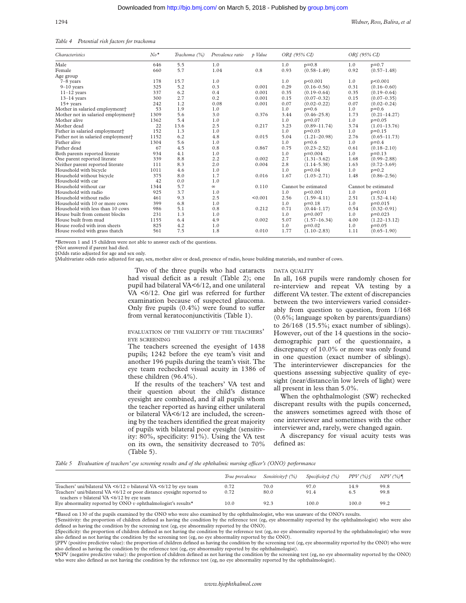*Table 4 Potential risk factors for trachoma*

| <i>Characteristics</i>                         | $No*$ | Trachoma (%) | Prevalence ratio | p Value | ORf (95% CI)<br>OR‡ (95% CI) |                  |                     |                  |
|------------------------------------------------|-------|--------------|------------------|---------|------------------------------|------------------|---------------------|------------------|
| Male                                           | 646   | 5.5          | 1.0              |         | 1.0                          | $p=0.8$          | 1.0                 | $p=0.7$          |
| Female                                         | 660   | 5.7          | 1.04             | 0.8     | 0.93                         | $(0.58 - 1.49)$  | 0.92                | $(0.57 - 1.48)$  |
| Age group                                      |       |              |                  |         |                              |                  |                     |                  |
| $7-8$ years                                    | 178   | 15.7         | 1.0              |         | 1.0                          | p<0.001          | 1.0                 | p<0.001          |
| $9-10$ years                                   | 325   | 5.2          | 0.3              | 0.001   | 0.29                         | $(0.16 - 0.56)$  | 0.31                | $(0.16 - 0.60)$  |
| $11-12$ years                                  | 337   | 6.2          | 0.4              | 0.001   | 0.35                         | $(0.19 - 0.64)$  | 0.35                | $(0.19 - 0.64)$  |
| $13-14$ vears                                  | 300   | 2.7          | 0.2              | 0.001   | 0.15                         | $(0.07 - 0.32)$  | 0.15                | $(0.07 - 0.35)$  |
| $15+$ years                                    | 242   | 1.2          | 0.08             | 0.001   | 0.07                         | $(0.02 - 0.22)$  | 0.07                | $(0.02 - 0.24)$  |
| Mother in salaried employment <sup>+</sup>     | 53    | 1.9          | 1.0              |         | 1.0                          | $p=0.6$          | 1.0                 | $p=0.6$          |
| Mother not in salaried employment+             | 1309  | 5.6          | 3.0              | 0.376   | 3.44                         | $(0.46 - 25.8)$  | 1.73                | $(0.21 - 14.27)$ |
| Mother alive                                   | 1362  | 5.4          | 1.0              |         | 1.0                          | $p=0.07$         | 1.0                 | $p=0.05$         |
| Mother dead                                    | 22    | 13.6         | 2.5              | 0.217   | 3.23                         | $(0.89 - 11.74)$ | 3.74                | $(1.01 - 13.76)$ |
| Father in salaried employment <sup>+</sup>     | 152   | 1.3          | 1.0              |         | 1.0                          | $p=0.03$         | 1.0                 | $p=0.15$         |
| Father not in salaried employment <sup>+</sup> | 1152  | 6.2          | 4.8              | 0.015   | 5.04                         | $(1.21 - 20.98)$ | 2.76                | $(0.65 - 11.73)$ |
| Father alive                                   | 1304  | 5.6          | 1.0              |         | 1.0                          | $p=0.6$          | 1.0                 | $p=0.4$          |
| Father dead                                    | 67    | 4.5          | 0.8              | 0.867   | 0.75                         | $(0.23 - 2.52)$  | 0.61                | $(0.18 - 2.10)$  |
| Both parents reported literate                 | 934   | 4.1          | 1.0              |         | 1.0                          | $p=0.004$        | 1.0                 | $p=0.13$         |
| One parent reported literate                   | 339   | 8.8          | 2.2              | 0.002   | 2.7                          | $(1.31 - 3.62)$  | 1.68                | $(0.99 - 2.88)$  |
| Neither parent reported literate               | 111   | 8.3          | 2.0              | 0.004   | 2.8                          | $(1.14 - 5.38)$  | 1.63                | $(0.72 - 3.69)$  |
| Household with bicycle                         | 1011  | 4.6          | 1.0              |         | 1.0                          | $p=0.04$         | 1.0                 | $p=0.2$          |
| Household without bicycle                      | 375   | 8.0          | 1.7              | 0.016   | 1.67                         | $(1.03 - 2.71)$  | 1.48                | $(0.86 - 2.56)$  |
| Household with car                             | 42    | 0.0          | 1.0              |         |                              |                  |                     |                  |
| Household without car                          | 1344  | 5.7          | $\infty$         | 0.110   | Cannot be estimated          |                  | Cannot be estimated |                  |
| Household with radio                           | 925   | 3.7          | 1.0              |         | 1.0                          | p<0.001          | 1.0                 | $p=0.01$         |
| Household without radio                        | 461   | 9.3          | 2.5              | < 0.001 | 2.56                         | $(1.59 - 4.11)$  | 2.51                | $(1.52 - 4.14)$  |
| Household with 10 or more cows                 | 399   | 6.8          | 1.0              |         | 1.0                          | $p=0.18$         | 1.0                 | $p=0.015$        |
| Household with less than 10 cows               | 986   | 5.1          | 0.8              | 0.212   | 0.71                         | $(0.44 - 1.17)$  | 0.54                | $(0.32 - 0.91)$  |
| House built from cement blocks                 | 231   | 1.3          | 1.0              |         | 1.0                          | $p=0.007$        | 1.0                 | $p=0.023$        |
| House built from mud                           | 1155  | 6.4          | 4.9              | 0.002   | 5.07                         | $(1.57 - 16.34)$ | 4.00                | $(1.22 - 13.12)$ |
| House roofed with iron sheets                  | 825   | 4.2          | 1.0              |         | 1.0                          | $p=0.02$         | 1.0                 | $p=0.05$         |
| House roofed with grass thatch                 | 561   | 7.5          | 1.8              | 0.010   | 1.77                         | $(1.10 - 2.83)$  | 1.11                | $(0.65 - 1.90)$  |

\*Between 1 and 15 children were not able to answer each of the questions.

†Not answered if parent had died.

‡Odds ratio adjusted for age and sex only.

§Multivariate odds ratio adjusted for age, sex, mother alive or dead, presence of radio, house building materials, and number of cows.

Two of the three pupils who had cataracts had visual deficit as a result (Table 2); one pupil had bilateral VA<6/12, and one unilateral VA <6/12. One girl was referred for further examination because of suspected glaucoma. Only five pupils  $(0.4\%)$  were found to suffer from vernal keratoconjunctivitis (Table 1).

EVALUATION OF THE VALIDITY OF THE TEACHERS' EYE SCREENING

The teachers screened the eyesight of 1438 pupils; 1242 before the eye team's visit and another 196 pupils during the team's visit. The eye team rechecked visual acuity in 1386 of these children (96.4%).

If the results of the teachers' VA test and their question about the child's distance eyesight are combined, and if all pupils whom the teacher reported as having either unilateral or bilateral VA<6/12 are included, the screening by the teachers identified the great majority of pupils with bilateral poor eyesight (sensitivity: 80%, specificity: 91%). Using the VA test on its own, the sensitivity decreased to 70% (Table 5).

DATA QUALITY

In all, 168 pupils were randomly chosen for re-interview and repeat VA testing by a different VA tester. The extent of discrepancies between the two interviewers varied considerably from question to question, from 1/168 (0.6%; language spoken by parents/guardians) to 26/168 (15.5%; exact number of siblings). However, out of the 14 questions in the sociodemographic part of the questionnaire, a discrepancy of 10.0% or more was only found in one question (exact number of siblings). The interinterviewer discrepancies for the questions assessing subjective quality of eyesight (near/distance/in low levels of light) were all present in less than 5.0%.

When the ophthalmologist (SW) rechecked discrepant results with the pupils concerned, the answers sometimes agreed with those of one interviewer and sometimes with the other interviewer and, rarely, were changed again.

A discrepancy for visual acuity tests was defined as:

*Table 5* Evaluation of teachers' eye screening results and of the ophthalmic nursing officer's (ONO) performance

|                                                                                                                                                                                                                    | True prevalence | Sensitivity† (%) | Specificity‡ (%) | PPV(%)      | NPV(%)       |
|--------------------------------------------------------------------------------------------------------------------------------------------------------------------------------------------------------------------|-----------------|------------------|------------------|-------------|--------------|
| Teachers' uni/bilateral VA $\leq 6/12$ v bilateral VA $\leq 6/12$ by eye team<br>Teachers' uni/bilateral VA $\leq 6/12$ or poor distance everight reported to<br>teachers $v$ bilateral VA $\leq 6/12$ by eye team | 0.72<br>0.72    | 70.0<br>80.0     | 97.0<br>91.4     | 14.9<br>6.5 | 99.8<br>99.8 |
| Eve abnormality reported by ONO v ophthalmologist's results*                                                                                                                                                       | 10.0            | 92.3             | 100.0            | 100.0       | 99.2         |

\*Based on 130 of the pupils examined by the ONO who were also examined by the ophthalmologist, who was unaware of the ONO's results.

†Sensitivity: the proportion of children defined as having the condition by the reference test (eg, eye abnormality reported by the ophthalmologist) who were also defined as having the condition by the screening test (eg, eye abnormality reported by the ONO).

‡Specificity: the proportion of children defined as not having the condition by the reference test (eg, no eye abnormality reported by the ophthalmologist) who were also defined as not having the condition by the screening test (eg, no eye abnormality reported by the ONO).

§PPV (positive predictive value): the proportion of children defined as having the condition by the screening test (eg, eye abnormality reported by the ONO) who were also defined as having the condition by the reference test (eg, eye abnormality reported by the ophthalmologist).

¶NPV (negative predictive value): the proportion of children defined as not having the condition by the screening test (eg, no eye abnormality reported by the ONO) who were also defined as not having the condition by the reference test (eg, no eye abnormality reported by the ophthalmologist).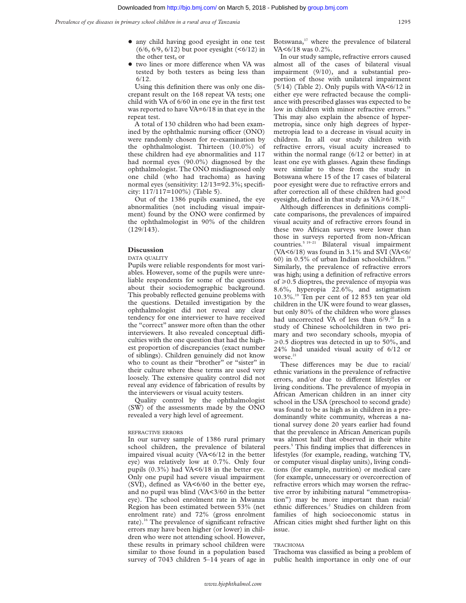- + any child having good eyesight in one test  $(6/6, 6/9, 6/12)$  but poor eyesight  $(5/12)$  in the other test, or
- two lines or more difference when VA was tested by both testers as being less than 6/12.

Using this definition there was only one discrepant result on the 168 repeat VA tests; one child with VA of 6/60 in one eye in the first test was reported to have VA=6/18 in that eye in the repeat test.

A total of 130 children who had been examined by the ophthalmic nursing officer (ONO) were randomly chosen for re-examination by the ophthalmologist. Thirteen (10.0%) of these children had eye abnormalities and 117 had normal eyes (90.0%) diagnosed by the ophthalmologist. The ONO misdiagnosed only one child (who had trachoma) as having normal eyes (sensitivity: 12/13=92.3%; specificity: 117/117=100%) (Table 5).

Out of the 1386 pupils examined, the eye abnormalities (not including visual impairment) found by the ONO were confirmed by the ophthalmologist in 90% of the children (129/143).

#### **Discussion**

#### DATA QUALITY

Pupils were reliable respondents for most variables. However, some of the pupils were unreliable respondents for some of the questions about their sociodemographic background. This probably reflected genuine problems with the questions. Detailed investigation by the ophthalmologist did not reveal any clear tendency for one interviewer to have received the "correct" answer more often than the other interviewers. It also revealed conceptual difficulties with the one question that had the highest proportion of discrepancies (exact number of siblings). Children genuinely did not know who to count as their "brother" or "sister" in their culture where these terms are used very loosely. The extensive quality control did not reveal any evidence of fabrication of results by the interviewers or visual acuity testers.

Quality control by the ophthalmologist (SW) of the assessments made by the ONO revealed a very high level of agreement.

### REFRACTIVE ERRORS

In our survey sample of 1386 rural primary school children, the prevalence of bilateral impaired visual acuity (VA<6/12 in the better eye) was relatively low at 0.7%. Only four pupils  $(0.3\%)$  had VA $\leq 6/18$  in the better eye. Only one pupil had severe visual impairment (SVI), defined as VA<6/60 in the better eye, and no pupil was blind (VA<3/60 in the better eye). The school enrolment rate in Mwanza Region has been estimated between 53% (net enrolment rate) and 72% (gross enrolment rate).<sup>16</sup> The prevalence of significant refractive errors may have been higher (or lower) in children who were not attending school. However, these results in primary school children were similar to those found in a population based survey of 7043 children 5–14 years of age in

Botswana,<sup>17</sup> where the prevalence of bilateral VA<6/18 was 0.2%.

In our study sample, refractive errors caused almost all of the cases of bilateral visual impairment (9/10), and a substantial proportion of those with unilateral impairment  $(5/14)$  (Table 2). Only pupils with VA<6/12 in either eye were refracted because the compliance with prescribed glasses was expected to be low in children with minor refractive errors.<sup>18</sup> This may also explain the absence of hypermetropia, since only high degrees of hypermetropia lead to a decrease in visual acuity in children. In all our study children with refractive errors, visual acuity increased to within the normal range (6/12 or better) in at least one eye with glasses. Again these findings were similar to these from the study in Botswana where 15 of the 17 cases of bilateral poor eyesight were due to refractive errors and after correction all of these children had good eyesight, defined in that study as  $VA \ge 6/18$ .<sup>17</sup>

Although differences in definitions complicate comparisons, the prevalences of impaired visual acuity and of refractive errors found in these two African surveys were lower than those in surveys reported from non-African countries.5 19–21 Bilateral visual impairment (VA<6/18) was found in 3.1% and SVI (VA<6/ 60) in 0.5% of urban Indian schoolchildren.<sup>19</sup> Similarly, the prevalence of refractive errors was high; using a definition of refractive errors of  $\geq$  0.5 dioptres, the prevalence of myopia was 8.6%, hyperopia 22.6%, and astigmatism 10.3%.19 Ten per cent of 12 853 ten year old children in the UK were found to wear glasses, but only 80% of the children who wore glasses had uncorrected VA of less than 6/9.<sup>20</sup> In a study of Chinese schoolchildren in two primary and two secondary schools, myopia of  $\geq 0.5$  dioptres was detected in up to 50%, and 24% had unaided visual acuity of 6/12 or worse.<sup>21</sup>

These differences may be due to racial/ ethnic variations in the prevalence of refractive errors, and/or due to different lifestyles or living conditions. The prevalence of myopia in African American children in an inner city school in the USA (preschool to second grade) was found to be as high as in children in a predominantly white community, whereas a national survey done 20 years earlier had found that the prevalence in African American pupils was almost half that observed in their white peers.<sup>5</sup> This finding implies that differences in lifestyles (for example, reading, watching TV, or computer visual display units), living conditions (for example, nutrition) or medical care (for example, unnecessary or overcorrection of refractive errors which may worsen the refractive error by inhibiting natural "emmetropisation") may be more important than racial/ ethnic differences.<sup>2</sup> Studies on children from families of high socioeconomic status in African cities might shed further light on this issue.

## TRACHOMA

Trachoma was classified as being a problem of public health importance in only one of our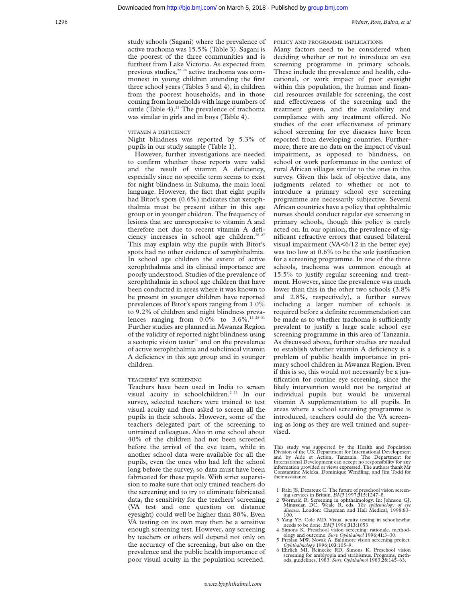study schools (Sagani) where the prevalence of active trachoma was 15.5% (Table 3). Sagani is the poorest of the three communities and is furthest from Lake Victoria. As expected from previous studies,<sup>22-24</sup> active trachoma was commonest in young children attending the first three school years (Tables 3 and 4), in children from the poorest households, and in those coming from households with large numbers of cattle (Table 4).<sup>25</sup> The prevalence of trachoma was similar in girls and in boys (Table 4).

# VITAMIN A DEFICIENCY

Night blindness was reported by 5.3% of pupils in our study sample (Table 1).

However, further investigations are needed to confirm whether these reports were valid and the result of vitamin A deficiency, especially since no specific term seems to exist for night blindness in Sukuma, the main local language. However, the fact that eight pupils had Bitot's spots (0.6%) indicates that xerophthalmia must be present either in this age group or in younger children. The frequency of lesions that are unresponsive to vitamin A and therefore not due to recent vitamin A deficiency increases in school age children.<sup>26 27</sup> This may explain why the pupils with Bitot's spots had no other evidence of xerophthalmia. In school age children the extent of active xerophthalmia and its clinical importance are poorly understood. Studies of the prevalence of xerophthalmia in school age children that have been conducted in areas where it was known to be present in younger children have reported prevalences of Bitot's spots ranging from 1.0% to 9.2% of children and night blindness prevalences ranging from  $0.0\%$  to  $3.6\%$ .<sup>13 28-31</sup> Further studies are planned in Mwanza Region of the validity of reported night blindness using a scotopic vision tester<sup>32</sup> and on the prevalence of active xerophthalmia and subclinical vitamin A deficiency in this age group and in younger children.

# TEACHERS' EYE SCREENING

Teachers have been used in India to screen visual acuity in schoolchildren.<sup>2 33</sup> In our survey, selected teachers were trained to test visual acuity and then asked to screen all the pupils in their schools. However, some of the teachers delegated part of the screening to untrained colleagues. Also in one school about 40% of the children had not been screened before the arrival of the eye team, while in another school data were available for all the pupils, even the ones who had left the school long before the survey, so data must have been fabricated for these pupils. With strict supervision to make sure that only trained teachers do the screening and to try to eliminate fabricated data, the sensitivity for the teachers' screening (VA test and one question on distance eyesight) could well be higher than 80%. Even VA testing on its own may then be a sensitive enough screening test. However, any screening by teachers or others will depend not only on the accuracy of the screening, but also on the prevalence and the public health importance of poor visual acuity in the population screened.

POLICY AND PROGRAMME IMPLICATIONS Many factors need to be considered when deciding whether or not to introduce an eye screening programme in primary schools. These include the prevalence and health, educational, or work impact of poor eyesight within this population, the human and financial resources available for screening, the cost and effectiveness of the screening and the treatment given, and the availability and compliance with any treatment offered. No studies of the cost effectiveness of primary school screening for eye diseases have been reported from developing countries. Furthermore, there are no data on the impact of visual impairment, as opposed to blindness, on school or work performance in the context of rural African villages similar to the ones in this survey. Given this lack of objective data, any judgments related to whether or not to introduce a primary school eye screening programme are necessarily subjective. Several African countries have a policy that ophthalmic nurses should conduct regular eye screening in primary schools, though this policy is rarely acted on. In our opinion, the prevalence of significant refractive errors that caused bilateral visual impairment  $(NA \leq 6/12)$  in the better eye) was too low at 0.6% to be the sole justification for a screening programme. In one of the three schools, trachoma was common enough at 15.5% to justify regular screening and treatment. However, since the prevalence was much lower than this in the other two schools (3.8% and 2.8%, respectively), a further survey including a larger number of schools is required before a definite recommendation can be made as to whether trachoma is sufficiently prevalent to justify a large scale school eye screening programme in this area of Tanzania. As discussed above, further studies are needed to establish whether vitamin A deficiency is a problem of public health importance in primary school children in Mwanza Region. Even if this is so, this would not necessarily be a justification for routine eye screening, since the likely intervention would not be targeted at individual pupils but would be universal vitamin A supplementation to all pupils. In areas where a school screening programme is introduced, teachers could do the VA screening as long as they are well trained and supervised.

This study was supported by the Health and Population Division of the UK Department for International Development and by Aide et Action, Tanzania. The Department for International Development can accept no responsibility for any information provided or views expressed. The authors thank Mr Constantine Meleka, Dominique Wendling, and Jim Todd for their assistance.

- 1 Rahi JS, Dezateux C. The future of preschool vision screening services in Britain. *BMJ* 1997;**315**:1247–8.
- 2 Wormald R. Screening in ophthalmology. In: Johnson GJ, Minassian DC, Weale R, eds. *The epidemiology of eye diseases*. London: Chapman and Hall Medical, 1998:83– 100.
- 3 Yang YF, Cole MD. Visual acuity testing in schools:what
- needs to be done. *BMJ* 1996;**313**:1053 4 Simons K. Preschool vision screening: rationale, method-ology and outcome. *Surv Ophthalmol* 1996;**41**:3–30.
- 5 Preslan MW, Novak A. Baltimore vision screening project. *Ophthalmology* 1996;**103**:105–9. 6 Ehrlich MI, Reinecke RD, Simons K. Preschool vision
- screening for amblyopia and strabismus. Programs, methods, guidelines, 1983. *Surv Ophthalmol* 1983;**28**:145–63.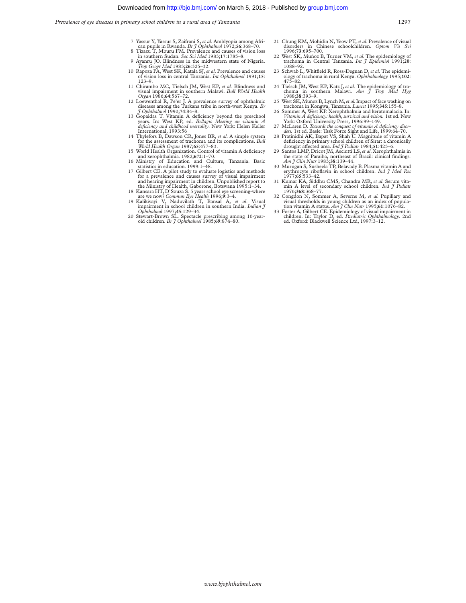*Prevalence of eye diseases in primary school children in a rural area of Tanzania* 1297

- 7 Yassur Y, Yassur S, Zaifrani S, *et al*. Amblyopia among Afri-can pupils in Rwanda. *Br J Ophthalmol* 1972;**56**:368–70.
- 8 Tizazu T, Mburu FM. Prevalence and causes of vision loss in southern Sudan. *Soc Sci Med* 1983;**17**:1785–8.
- 9 Ayanru JO. Blindness in the midwestern state of Nigeria. *Trop Geogr Med* 1983;**26**:325–32. 10 Rapoza PA, West SK, Katala SJ, *et al*. Prevalence and causes
- of vision loss in central Tanzania. *Int Ophthalmol* 1991;**15**: 123–9.
- 11 Chirambo MC, Tielsch JM, West KP, *et al.* Blindness and visual impairment in southern Malawi. *Bull World Health Organ* 1986;**64**:567–72. 12 Loewenthal R, Pe'er J. A prevalence survey of ophthalmic
- diseases among the Turkana tribe in north-west Kenya. *Br J* Ophthalmol 1990;74:84–8.
- years. In: West KP, ed. *Bellagio Meeting on vitamin A deficiency and childhood mortality*. New York: Helen Keller International, 1993:56
- 14 Thylefors B, Dawson CR, Jones BR, *et al*. A simple system for the assessment of trachoma and its complications. *Bull World Health Organ* 1987;**65**:477–83.
- 15 World Health Organization. Control of vitamin A deficiency and xerophthalmia. 1982;**672**:1–70.
- 16 Ministry of Education and Culture, Tanzania. Basic statistics in education. 1999:1–48. 17 Gilbert CE. A pilot study to evaluate logistics and methods
- for a prevalence and causes survey of visual impairment and hearing impairment in children. Unpublished report to the Ministry of Health, Gaborone, Botswana 1995:1–34. 18 Kansara HT, D'Souza S. 5 years school eye screening-where
- 
- are we now? *Commun Eye Health* 1996;9:3–4.<br>
19 Kalikivayi V, Naduvilath T, Bansal A, *et al.* Visual<br>
impairment in school children in southern India. *Indian J*<br> *Ophthalmol* 1997;45:129–34.
- 20 Stewart-Brown SL. Spectacle prescribing among 10-year-old children. *Br J Ophthalmol* 1985;**69**:874–80.
- 21 Chung KM, Mohidin N, Yeow PT,*et al*. Prevalence of visual disorders in Chinese schoolchildren. *Optom Vis Sci*
- 1996; 73.03.2-7.00.<br>22 West SK, Muñoz B, Turner VM, *et al.* The epidemiology of trachoma in Central Tanzania. *Int J Epidemiol* 1991;20:
- trachoma in Central Tanzania. *Int J Epidemiol* 1991;**20**: 1088–92. 23 Schwab L, Whitfield R, Ross-Degnan D,*et al*. The epidemi-ology of trachoma in rural Kenya. *Ophthalmology* 1995;**102**: 475–82.
- 24 Tielsch JM, West KP, Katz J, *et al.* The epidemiology of tra-choma in southern Malawi. *Am J Trop Med Hyg* 1988;**38**:393–9.
- 25 West SK, Muñoz B, Lynch M,*et al.*Impact of face washing on trachoma in Kongwa, Tanzania. *Lancet* 1995;**345**:155–8. 26 Sommer A, West KP. Xerophthalmia and keratomalacia. In:
- Vitamin A deficiency: health, survival and vision. 1st ed. New<br>York: Oxford University Press, 1996:99–149.<br>27 McLaren D. Towards the conquest of vitamin A deficiency disor-<br>ders. 1st ed. Basle: Task Force Sight and Life, 1
- 
- 
- deficiency in primary school children of Sirar: a chronically<br>drought affected area. *Ind J Pediatr* 1984;51:423–6.<br>29 Santos LMP, Dricot JM, Asciutti LS, *et al.* Xerophthalmia in<br>the state of Paraiba, northeast of Brazi
- 30 Murugan S, Susheela TP, Belavady B. Plasma vitamin A and erythrocyte riboflavin in school children. *Ind J Med Res* 1977;**65**:533–42.
- 31 Kumar KA, Siddhu CMS, Chandra MR, *et al*. Serum vita-min A level of secondary school children. *Ind J Pediatr* 1976;**368**:368–77.
- Congdon N, Sommer A, Severns M, et al. Pupillary and visual thresholds in young children as an index of popula-tion vitamin A status. *Am J Clin Nutr* 1995;**61**:1076–82. 33 Foster A, Gilbert CE. Epidemiology of visual impairment in
- children. In: Taylor D, ed. *Paediatric Ophthalmology*. 2nd ed. Oxford: Blackwell Science Ltd, 1997:3–12.